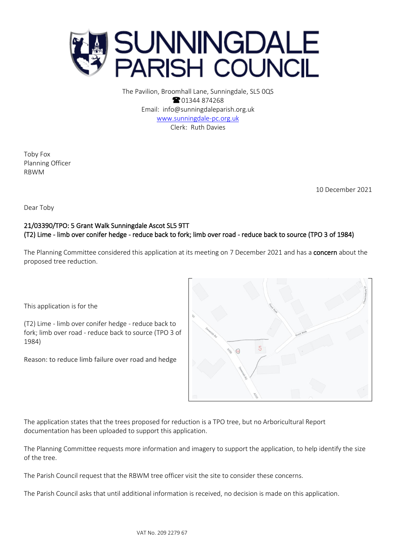

The Pavilion, Broomhall Lane, Sunningdale, SL5 0QS **8** 01344 874268 Email: info@sunningdaleparish.org.uk [www.sunningdale-pc.org.uk](http://www.sunningdale-pc.org.uk/) Clerk: Ruth Davies

Toby Fox Planning Officer RBWM

10 December 2021

Dear Toby

## 21/03390/TPO: 5 Grant Walk Sunningdale Ascot SL5 9TT (T2) Lime - limb over conifer hedge - reduce back to fork; limb over road - reduce back to source (TPO 3 of 1984)

The Planning Committee considered this application at its meeting on 7 December 2021 and has a concern about the proposed tree reduction.

This application is for the

(T2) Lime - limb over conifer hedge - reduce back to fork; limb over road - reduce back to source (TPO 3 of 1984)

Reason: to reduce limb failure over road and hedge



The application states that the trees proposed for reduction is a TPO tree, but no Arboricultural Report documentation has been uploaded to support this application.

The Planning Committee requests more information and imagery to support the application, to help identify the size of the tree.

The Parish Council request that the RBWM tree officer visit the site to consider these concerns.

The Parish Council asks that until additional information is received, no decision is made on this application.